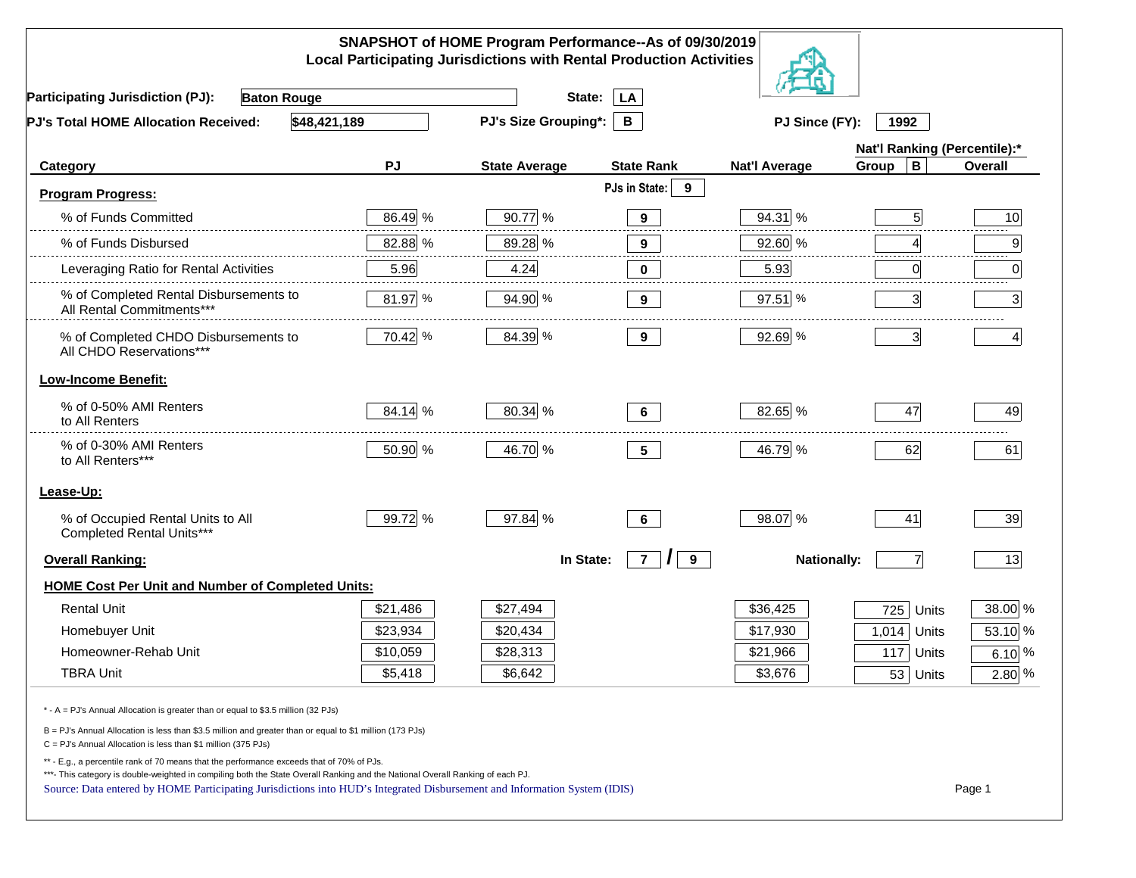|                                                                                                                                                                                                                                                                                                                                                          |          | SNAPSHOT of HOME Program Performance--As of 09/30/2019<br><b>Local Participating Jurisdictions with Rental Production Activities</b> |                                                                                                                                                                                                                                                                                                                                                                                                          |                      |                              |                |
|----------------------------------------------------------------------------------------------------------------------------------------------------------------------------------------------------------------------------------------------------------------------------------------------------------------------------------------------------------|----------|--------------------------------------------------------------------------------------------------------------------------------------|----------------------------------------------------------------------------------------------------------------------------------------------------------------------------------------------------------------------------------------------------------------------------------------------------------------------------------------------------------------------------------------------------------|----------------------|------------------------------|----------------|
| <b>Participating Jurisdiction (PJ):</b><br><b>Baton Rouge</b>                                                                                                                                                                                                                                                                                            |          | State:                                                                                                                               | LA                                                                                                                                                                                                                                                                                                                                                                                                       |                      |                              |                |
| \$48,421,189<br>PJ's Total HOME Allocation Received:                                                                                                                                                                                                                                                                                                     |          | <b>PJ's Size Grouping*:</b>                                                                                                          | B                                                                                                                                                                                                                                                                                                                                                                                                        | PJ Since (FY):       | 1992                         |                |
|                                                                                                                                                                                                                                                                                                                                                          |          |                                                                                                                                      |                                                                                                                                                                                                                                                                                                                                                                                                          |                      | Nat'l Ranking (Percentile):* |                |
| Category                                                                                                                                                                                                                                                                                                                                                 | PJ       | <b>State Average</b>                                                                                                                 | <b>State Rank</b>                                                                                                                                                                                                                                                                                                                                                                                        | <b>Nat'l Average</b> | $\, {\bf B}$<br>Group        | <b>Overall</b> |
| <b>Program Progress:</b>                                                                                                                                                                                                                                                                                                                                 |          |                                                                                                                                      | PJs in State:<br>9                                                                                                                                                                                                                                                                                                                                                                                       |                      |                              |                |
| % of Funds Committed                                                                                                                                                                                                                                                                                                                                     | 86.49 %  | 90.77 %                                                                                                                              | $9^{\circ}$                                                                                                                                                                                                                                                                                                                                                                                              | 94.31 %              |                              | 10             |
| % of Funds Disbursed                                                                                                                                                                                                                                                                                                                                     | 82.88 %  | 89.28 %                                                                                                                              | $\frac{1}{2} \frac{1}{2} \frac{1}{2} \frac{1}{2} \frac{1}{2} \frac{1}{2} \frac{1}{2} \frac{1}{2} \frac{1}{2} \frac{1}{2} \frac{1}{2} \frac{1}{2} \frac{1}{2} \frac{1}{2} \frac{1}{2} \frac{1}{2} \frac{1}{2} \frac{1}{2} \frac{1}{2} \frac{1}{2} \frac{1}{2} \frac{1}{2} \frac{1}{2} \frac{1}{2} \frac{1}{2} \frac{1}{2} \frac{1}{2} \frac{1}{2} \frac{1}{2} \frac{1}{2} \frac{1}{2} \frac{$<br>$\bf{9}$ | 92.60 %              |                              | 9              |
| Leveraging Ratio for Rental Activities                                                                                                                                                                                                                                                                                                                   | 5.96     | 4.24                                                                                                                                 | 0                                                                                                                                                                                                                                                                                                                                                                                                        | 5.93                 | 0                            | 0              |
| % of Completed Rental Disbursements to<br>All Rental Commitments***                                                                                                                                                                                                                                                                                      | 81.97 %  | 94.90 %                                                                                                                              | 9                                                                                                                                                                                                                                                                                                                                                                                                        | $97.51$ %            | 3                            | 3 <sup>1</sup> |
| % of Completed CHDO Disbursements to<br>All CHDO Reservations***                                                                                                                                                                                                                                                                                         | 70.42 %  | 84.39 %                                                                                                                              | 9                                                                                                                                                                                                                                                                                                                                                                                                        | 92.69 %              | $\overline{\mathbf{3}}$      | 4              |
| <b>Low-Income Benefit:</b>                                                                                                                                                                                                                                                                                                                               |          |                                                                                                                                      |                                                                                                                                                                                                                                                                                                                                                                                                          |                      |                              |                |
| % of 0-50% AMI Renters<br>to All Renters                                                                                                                                                                                                                                                                                                                 | 84.14 %  | 80.34 %                                                                                                                              | 6                                                                                                                                                                                                                                                                                                                                                                                                        | 82.65 %              | 47                           | 49             |
| % of 0-30% AMI Renters<br>to All Renters***                                                                                                                                                                                                                                                                                                              | 50.90 %  | 46.70 %                                                                                                                              | 5 <sub>5</sub>                                                                                                                                                                                                                                                                                                                                                                                           | 46.79 %              | 62                           | 61             |
| Lease-Up:                                                                                                                                                                                                                                                                                                                                                |          |                                                                                                                                      |                                                                                                                                                                                                                                                                                                                                                                                                          |                      |                              |                |
| % of Occupied Rental Units to All<br>Completed Rental Units***                                                                                                                                                                                                                                                                                           | 99.72 %  | 97.84 %                                                                                                                              | $6\phantom{a}$                                                                                                                                                                                                                                                                                                                                                                                           | 98.07 %              | 41                           | 39             |
| <b>Overall Ranking:</b>                                                                                                                                                                                                                                                                                                                                  |          | In State:                                                                                                                            | $\overline{7}$<br>$\prime$<br>9                                                                                                                                                                                                                                                                                                                                                                          | <b>Nationally:</b>   | $\overline{7}$               | 13             |
| <b>HOME Cost Per Unit and Number of Completed Units:</b>                                                                                                                                                                                                                                                                                                 |          |                                                                                                                                      |                                                                                                                                                                                                                                                                                                                                                                                                          |                      |                              |                |
| <b>Rental Unit</b>                                                                                                                                                                                                                                                                                                                                       | \$21,486 | \$27,494                                                                                                                             |                                                                                                                                                                                                                                                                                                                                                                                                          | \$36,425             | 725<br>Units                 | 38.00 %        |
| Homebuyer Unit                                                                                                                                                                                                                                                                                                                                           | \$23,934 | \$20,434                                                                                                                             |                                                                                                                                                                                                                                                                                                                                                                                                          | \$17,930             | 1,014<br>Units               | 53.10 %        |
| Homeowner-Rehab Unit                                                                                                                                                                                                                                                                                                                                     | \$10,059 | \$28,313                                                                                                                             |                                                                                                                                                                                                                                                                                                                                                                                                          | \$21,966             | 117<br>Units                 | 6.10 $%$       |
| <b>TBRA Unit</b>                                                                                                                                                                                                                                                                                                                                         | \$5,418  | \$6,642                                                                                                                              |                                                                                                                                                                                                                                                                                                                                                                                                          | \$3,676              | 53 Units                     | 2.80 %         |
| * - A = PJ's Annual Allocation is greater than or equal to \$3.5 million (32 PJs)                                                                                                                                                                                                                                                                        |          |                                                                                                                                      |                                                                                                                                                                                                                                                                                                                                                                                                          |                      |                              |                |
| B = PJ's Annual Allocation is less than \$3.5 million and greater than or equal to \$1 million (173 PJs)<br>$C = PJ's$ Annual Allocation is less than \$1 million (375 PJs)                                                                                                                                                                              |          |                                                                                                                                      |                                                                                                                                                                                                                                                                                                                                                                                                          |                      |                              |                |
| ** - E.g., a percentile rank of 70 means that the performance exceeds that of 70% of PJs.<br>***- This category is double-weighted in compiling both the State Overall Ranking and the National Overall Ranking of each PJ.<br>Source: Data entered by HOME Participating Jurisdictions into HUD's Integrated Disbursement and Information System (IDIS) |          |                                                                                                                                      |                                                                                                                                                                                                                                                                                                                                                                                                          |                      |                              | Page 1         |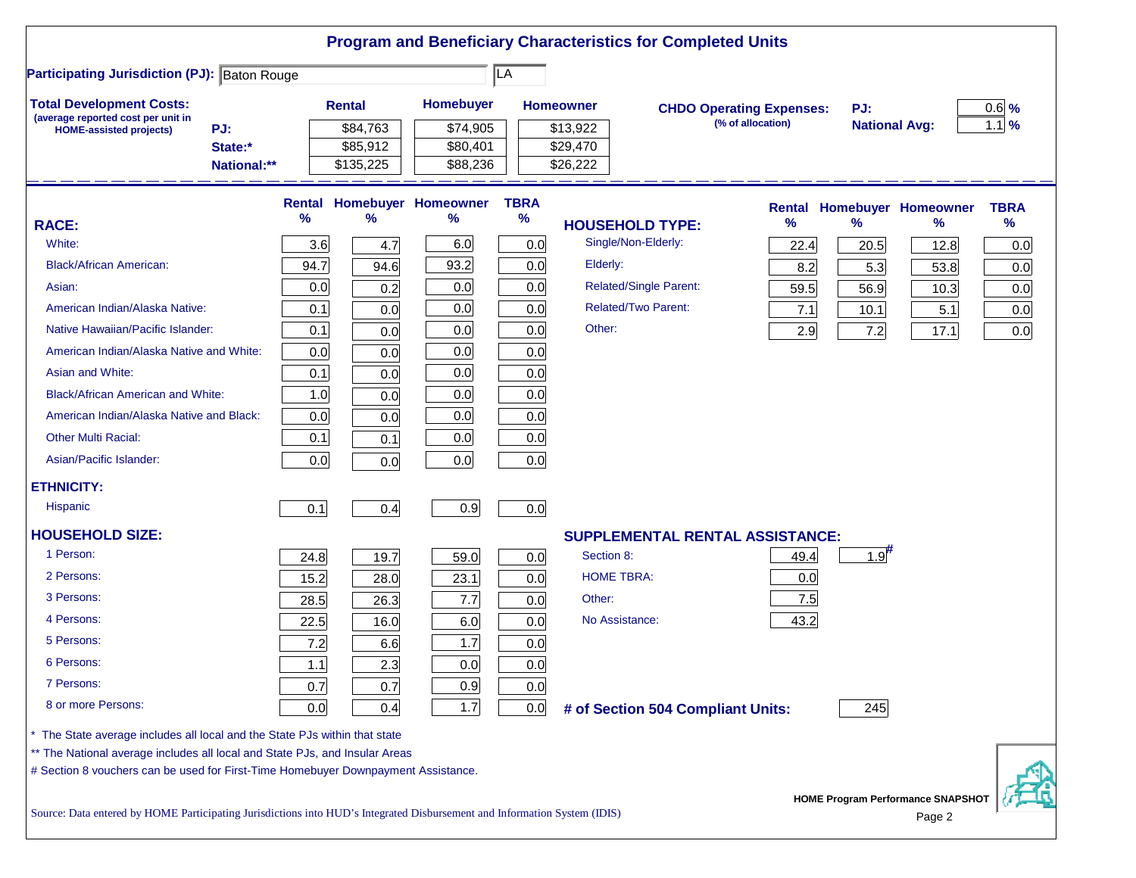|                                                                                                                           |       |               |                            |             |                               | <b>Program and Beneficiary Characteristics for Completed Units</b> |                   |                      |                                             |             |
|---------------------------------------------------------------------------------------------------------------------------|-------|---------------|----------------------------|-------------|-------------------------------|--------------------------------------------------------------------|-------------------|----------------------|---------------------------------------------|-------------|
| <b>Participating Jurisdiction (PJ): Baton Rouge</b>                                                                       |       |               |                            | LA          |                               |                                                                    |                   |                      |                                             |             |
| <b>Total Development Costs:</b>                                                                                           |       | <b>Rental</b> | Homebuyer                  |             | <b>Homeowner</b>              | <b>CHDO Operating Expenses:</b>                                    |                   | PJ:                  |                                             | $0.6$ %     |
| (average reported cost per unit in<br>PJ:<br><b>HOME-assisted projects)</b>                                               |       | \$84,763      | \$74,905                   |             | \$13,922                      |                                                                    | (% of allocation) | <b>National Avg:</b> |                                             | $1.1$ %     |
| State:*                                                                                                                   |       | \$85,912      | \$80,401                   |             | \$29,470                      |                                                                    |                   |                      |                                             |             |
| National:**                                                                                                               |       | \$135,225     | \$88,236                   |             | \$26,222                      |                                                                    |                   |                      |                                             |             |
|                                                                                                                           |       |               | Rental Homebuyer Homeowner | <b>TBRA</b> |                               |                                                                    | <b>Rental</b>     |                      | <b>Homebuyer Homeowner</b>                  | <b>TBRA</b> |
| <b>RACE:</b>                                                                                                              | %     | %             | %                          | $\%$        | <b>HOUSEHOLD TYPE:</b>        |                                                                    | $\%$              | $\frac{9}{6}$        | ℅                                           | %           |
| White:                                                                                                                    | 3.6   | 4.7           | 6.0                        | 0.0         | Single/Non-Elderly:           |                                                                    | 22.4              | 20.5                 | 12.8                                        | 0.0         |
| <b>Black/African American:</b>                                                                                            | 94.7  | 94.6          | 93.2                       | 0.0         | Elderly:                      |                                                                    | 8.2               | 5.3                  | 53.8                                        | 0.0         |
| Asian:                                                                                                                    | 0.0   | 0.2           | 0.0                        | 0.0         | <b>Related/Single Parent:</b> |                                                                    | 59.5              | 56.9                 | 10.3                                        | 0.0         |
| American Indian/Alaska Native:                                                                                            | 0.1   | 0.0           | 0.0                        | 0.0         | <b>Related/Two Parent:</b>    |                                                                    | 7.1               | 10.1                 | 5.1                                         | 0.0         |
| Native Hawaiian/Pacific Islander:                                                                                         | 0.1   | 0.0           | 0.0                        | 0.0         | Other:                        |                                                                    | 2.9               | 7.2                  | 17.1                                        | 0.0         |
| American Indian/Alaska Native and White:                                                                                  | 0.0   | 0.0           | 0.0                        | 0.0         |                               |                                                                    |                   |                      |                                             |             |
| Asian and White:                                                                                                          | 0.1   | 0.0           | 0.0                        | 0.0         |                               |                                                                    |                   |                      |                                             |             |
| <b>Black/African American and White:</b>                                                                                  | 1.0   | 0.0           | 0.0                        | 0.0         |                               |                                                                    |                   |                      |                                             |             |
| American Indian/Alaska Native and Black:                                                                                  | 0.0   | 0.0           | 0.0                        | 0.0         |                               |                                                                    |                   |                      |                                             |             |
| <b>Other Multi Racial:</b>                                                                                                | 0.1   | 0.1           | 0.0                        | 0.0         |                               |                                                                    |                   |                      |                                             |             |
| Asian/Pacific Islander:                                                                                                   | 0.0   | 0.0           | 0.0                        | 0.0         |                               |                                                                    |                   |                      |                                             |             |
| <b>ETHNICITY:</b>                                                                                                         |       |               |                            |             |                               |                                                                    |                   |                      |                                             |             |
| <b>Hispanic</b>                                                                                                           | 0.1   | 0.4           | 0.9                        | 0.0         |                               |                                                                    |                   |                      |                                             |             |
| <b>HOUSEHOLD SIZE:</b>                                                                                                    |       |               |                            |             |                               | <b>SUPPLEMENTAL RENTAL ASSISTANCE:</b>                             |                   |                      |                                             |             |
| 1 Person:                                                                                                                 | 24.8  | 19.7          | 59.0                       | 0.0         | Section 8:                    |                                                                    | 49.4              | $1.9$ <sup>#</sup>   |                                             |             |
| 2 Persons:                                                                                                                | 15.2  | 28.0          | 23.1                       | 0.0         | <b>HOME TBRA:</b>             |                                                                    | 0.0               |                      |                                             |             |
| 3 Persons:                                                                                                                | 28.5  | 26.3          | 7.7                        | 0.0         | Other:                        |                                                                    | 7.5               |                      |                                             |             |
| 4 Persons:                                                                                                                | 22.5  | 16.0          | 6.0                        | 0.0         | No Assistance:                |                                                                    | 43.2              |                      |                                             |             |
| 5 Persons:                                                                                                                | 7.2   | 6.6           | 1.7                        | 0.0         |                               |                                                                    |                   |                      |                                             |             |
| 6 Persons:                                                                                                                | $1.1$ | 2.3           | 0.0                        | 0.0         |                               |                                                                    |                   |                      |                                             |             |
| 7 Persons:                                                                                                                | 0.7   | 0.7           | 0.9                        | 0.0         |                               |                                                                    |                   |                      |                                             |             |
| 8 or more Persons:                                                                                                        | 0.0   | 0.4           | 1.7                        | 0.0         |                               | # of Section 504 Compliant Units:                                  |                   | 245                  |                                             |             |
| The State average includes all local and the State PJs within that state                                                  |       |               |                            |             |                               |                                                                    |                   |                      |                                             |             |
| ** The National average includes all local and State PJs, and Insular Areas                                               |       |               |                            |             |                               |                                                                    |                   |                      |                                             |             |
| # Section 8 vouchers can be used for First-Time Homebuyer Downpayment Assistance.                                         |       |               |                            |             |                               |                                                                    |                   |                      |                                             |             |
| Source: Data entered by HOME Participating Jurisdictions into HUD's Integrated Disbursement and Information System (IDIS) |       |               |                            |             |                               |                                                                    |                   |                      | HOME Program Performance SNAPSHOT<br>Page 2 |             |